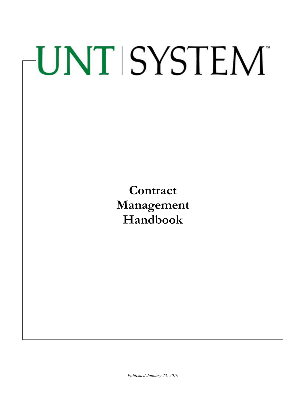# UNT SYSTEM-

**Contract Management Handbook**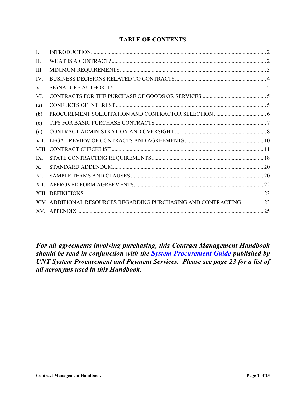# **TABLE OF CONTENTS**

| L.          |                                                                   |  |
|-------------|-------------------------------------------------------------------|--|
| $\Pi$ .     |                                                                   |  |
| HI.         |                                                                   |  |
| IV.         |                                                                   |  |
| V.          |                                                                   |  |
| VI.         |                                                                   |  |
| (a)         |                                                                   |  |
| (b)         |                                                                   |  |
| (c)         |                                                                   |  |
| (d)         |                                                                   |  |
| VII.        |                                                                   |  |
|             |                                                                   |  |
| IX.         |                                                                   |  |
| $X_{\cdot}$ |                                                                   |  |
| XI.         |                                                                   |  |
| XII.        |                                                                   |  |
|             |                                                                   |  |
|             | XIV. ADDITIONAL RESOURCES REGARDING PURCHASING AND CONTRACTING 23 |  |
|             |                                                                   |  |

*For all agreements involving purchasing, this Contract Management Handbook should be read in conjunction with the [System Procurement Guide](https://finance.untsystem.edu/sites/default/files/procurement_guide_10.3_adjustment_jr_002.pdf) published by UNT System Procurement and Payment Services. Please see page 23 for a list of all acronyms used in this Handbook.*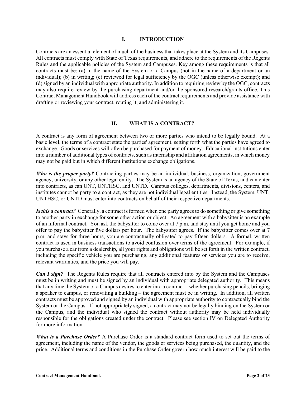#### **I. INTRODUCTION**

<span id="page-2-0"></span>Contracts are an essential element of much of the business that takes place at the System and its Campuses. All contracts must comply with State of Texas requirements, and adhere to the requirements of the Regents Rules and the applicable policies of the System and Campuses. Key among these requirements is that all contracts must be: (a) in the name of the System or a Campus (not in the name of a department or an individual); (b) in writing; (c) reviewed for legal sufficiency by the OGC (unless otherwise exempt); and (d) signed by an individual with appropriate authority. In addition to requiring review by the OGC, contracts may also require review by the purchasing department and/or the sponsored research/grants office. This Contract Management Handbook will address each of the contract requirements and provide assistance with drafting or reviewing your contract, routing it, and administering it.

## **II. WHAT IS A CONTRACT?**

<span id="page-2-1"></span>A contract is any form of agreement between two or more parties who intend to be legally bound. At a basic level, the terms of a contract state the parties' agreement, setting forth what the parties have agreed to exchange. Goods or services will often be purchased for payment of money. Educational institutions enter into a number of additional types of contracts, such as internship and affiliation agreements, in which money may not be paid but in which different institutions exchange obligations.

*Who is the proper party?* Contracting parties may be an individual, business, organization, government agency, university, or any other legal entity. The System is an agency of the State of Texas, and can enter into contracts, as can UNT, UNTHSC, and UNTD. Campus colleges, departments, divisions, centers, and institutes cannot be party to a contract, as they are not individual legal entities. Instead, the System, UNT, UNTHSC, or UNTD must enter into contracts on behalf of their respective departments.

*Is this a contract?* Generally, a contract is formed when one party agrees to do something or give something to another party in exchange for some other action or object. An agreement with a babysitter is an example of an informal contract. You ask the babysitter to come over at 7 p.m. and stay until you get home and you offer to pay the babysitter five dollars per hour. The babysitter agrees. If the babysitter comes over at 7 p.m. and stays for three hours, you are contractually obligated to pay fifteen dollars. A formal, written contract is used in business transactions to avoid confusion over terms of the agreement. For example, if you purchase a car from a dealership, all your rights and obligations will be set forth in the written contract, including the specific vehicle you are purchasing, any additional features or services you are to receive, relevant warranties, and the price you will pay.

*Can I sign?* The Regents Rules require that all contracts entered into by the System and the Campuses must be in writing and must be signed by an individual with appropriate delegated authority. This means that any time the System or a Campus desires to enter into a contract – whether purchasing pencils, bringing a speaker to campus, or renovating a building – the agreement must be in writing. In addition, all written contracts must be approved and signed by an individual with appropriate authority to contractually bind the System or the Campus. If not appropriately signed, a contract may not be legally binding on the System or the Campus, and the individual who signed the contract without authority may be held individually responsible for the obligations created under the contract. Please see section IV on Delegated Authority for more information.

*What is a Purchase Order?* A Purchase Order is a standard contract form used to set out the terms of agreement, including the name of the vendor, the goods or services being purchased, the quantity, and the price. Additional terms and conditions in the Purchase Order govern how much interest will be paid to the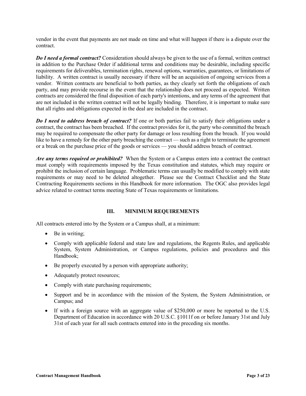vendor in the event that payments are not made on time and what will happen if there is a dispute over the contract.

*Do I need a formal contract?* Consideration should always be given to the use of a formal, written contract in addition to the Purchase Order if additional terms and conditions may be desirable, including specific requirements for deliverables, termination rights, renewal options, warranties, guarantees, or limitations of liability. A written contract is usually necessary if there will be an acquisition of ongoing services from a vendor. Written contracts are beneficial to both parties, as they clearly set forth the obligations of each party, and may provide recourse in the event that the relationship does not proceed as expected. Written contracts are considered the final disposition of each party's intentions, and any terms of the agreement that are not included in the written contract will not be legally binding. Therefore, it is important to make sure that all rights and obligations expected in the deal are included in the contract.

*Do I need to address breach of contract?* If one or both parties fail to satisfy their obligations under a contract, the contract has been breached. If the contract provides for it, the party who committed the breach may be required to compensate the other party for damage or loss resulting from the breach. If you would like to have a remedy for the other party breaching the contract — such as a right to terminate the agreement or a break on the purchase price of the goods or services — you should address breach of contract.

*Are any terms required or prohibited?* When the System or a Campus enters into a contract the contract must comply with requirements imposed by the Texas constitution and statutes, which may require or prohibit the inclusion of certain language. Problematic terms can usually be modified to comply with state requirements or may need to be deleted altogether. Please see the Contract Checklist and the State Contracting Requirements sections in this Handbook for more information. The OGC also provides legal advice related to contract terms meeting State of Texas requirements or limitations.

## **III. MINIMUM REQUIREMENTS**

<span id="page-3-0"></span>All contracts entered into by the System or a Campus shall, at a minimum:

- Be in writing;
- Comply with applicable federal and state law and regulations, the Regents Rules, and applicable System, System Administration, or Campus regulations, policies and procedures and this Handbook;
- Be properly executed by a person with appropriate authority;
- Adequately protect resources;
- Comply with state purchasing requirements;
- Support and be in accordance with the mission of the System, the System Administration, or Campus; and
- If with a foreign source with an aggregate value of \$250,000 or more be reported to the U.S. Department of Education in accordance with 20 U.S.C. §1011f on or before January 31st and July 31st of each year for all such contracts entered into in the preceding six months.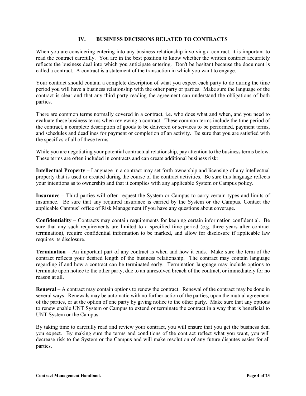#### **IV. BUSINESS DECISIONS RELATED TO CONTRACTS**

<span id="page-4-0"></span>When you are considering entering into any business relationship involving a contract, it is important to read the contract carefully. You are in the best position to know whether the written contract accurately reflects the business deal into which you anticipate entering. Don't be hesitant because the document is called a contract. A contract is a statement of the transaction in which you want to engage.

Your contract should contain a complete description of what you expect each party to do during the time period you will have a business relationship with the other party or parties. Make sure the language of the contract is clear and that any third party reading the agreement can understand the obligations of both parties.

There are common terms normally covered in a contract, i.e. who does what and when, and you need to evaluate these business terms when reviewing a contract. These common terms include the time period of the contract, a complete description of goods to be delivered or services to be performed, payment terms, and schedules and deadlines for payment or completion of an activity. Be sure that you are satisfied with the specifics of all of these terms.

While you are negotiating your potential contractual relationship, pay attention to the business terms below. These terms are often included in contracts and can create additional business risk:

**Intellectual Property** – Language in a contract may set forth ownership and licensing of any intellectual property that is used or created during the course of the contract activities. Be sure this language reflects your intentions as to ownership and that it complies with any applicable System or Campus policy.

**Insurance** – Third parties will often request the System or Campus to carry certain types and limits of insurance. Be sure that any required insurance is carried by the System or the Campus. Contact the applicable Campus' office of Risk Management if you have any questions about coverage.

**Confidentiality** – Contracts may contain requirements for keeping certain information confidential. Be sure that any such requirements are limited to a specified time period (e.g. three years after contract termination), require confidential information to be marked, and allow for disclosure if applicable law requires its disclosure.

**Termination** – An important part of any contract is when and how it ends. Make sure the term of the contract reflects your desired length of the business relationship. The contract may contain language regarding if and how a contract can be terminated early. Termination language may include options to terminate upon notice to the other party, due to an unresolved breach of the contract, or immediately for no reason at all.

**Renewal** – A contract may contain options to renew the contract. Renewal of the contract may be done in several ways. Renewals may be automatic with no further action of the parties, upon the mutual agreement of the parties, or at the option of one party by giving notice to the other party. Make sure that any options to renew enable UNT System or Campus to extend or terminate the contract in a way that is beneficial to UNT System or the Campus.

By taking time to carefully read and review your contract, you will ensure that you get the business deal you expect. By making sure the terms and conditions of the contract reflect what you want, you will decrease risk to the System or the Campus and will make resolution of any future disputes easier for all parties.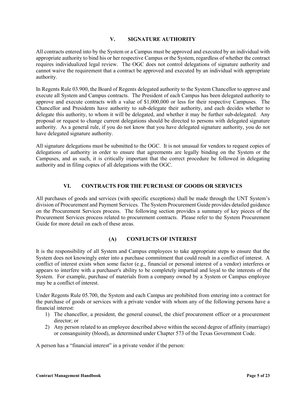## **V. SIGNATURE AUTHORITY**

<span id="page-5-0"></span>All contracts entered into by the System or a Campus must be approved and executed by an individual with appropriate authority to bind his or her respective Campus or the System, regardless of whether the contract requires individualized legal review. The OGC does not control delegations of signature authority and cannot waive the requirement that a contract be approved and executed by an individual with appropriate authority.

In Regents Rule 03.900, the Board of Regents delegated authority to the System Chancellor to approve and execute all System and Campus contracts. The President of each Campus has been delegated authority to approve and execute contracts with a value of \$1,000,000 or less for their respective Campuses. The Chancellor and Presidents have authority to sub-delegate their authority, and each decides whether to delegate this authority, to whom it will be delegated, and whether it may be further sub-delegated. Any proposal or request to change current delegations should be directed to persons with delegated signature authority. As a general rule, if you do not know that you have delegated signature authority, you do not have delegated signature authority.

All signature delegations must be submitted to the OGC. It is not unusual for vendors to request copies of delegations of authority in order to ensure that agreements are legally binding on the System or the Campuses, and as such, it is critically important that the correct procedure be followed in delegating authority and in filing copies of all delegations with the OGC.

## **VI. CONTRACTS FOR THE PURCHASE OF GOODS OR SERVICES**

<span id="page-5-1"></span>All purchases of goods and services (with specific exceptions) shall be made through the UNT System's division of Procurement and Payment Services. The System Procurement Guide provides detailed guidance on the Procurement Services process. The following section provides a summary of key pieces of the Procurement Services process related to procurement contracts. Please refer to the System Procurement Guide for more detail on each of these areas.

## **(A) CONFLICTS OF INTEREST**

<span id="page-5-2"></span>It is the responsibility of all System and Campus employees to take appropriate steps to ensure that the System does not knowingly enter into a purchase commitment that could result in a conflict of interest. A conflict of interest exists when some factor (e.g., financial or personal interest of a vendor) interferes or appears to interfere with a purchaser's ability to be completely impartial and loyal to the interests of the System. For example, purchase of materials from a company owned by a System or Campus employee may be a conflict of interest.

Under Regents Rule 05.700, the System and each Campus are prohibited from entering into a contract for the purchase of goods or services with a private vendor with whom any of the following persons have a financial interest:

- 1) The chancellor, a president, the general counsel, the chief procurement officer or a procurement director; or
- 2) Any person related to an employee described above within the second degree of affinity (marriage) or consanguinity (blood), as determined under Chapter 573 of the Texas Government Code.

A person has a "financial interest" in a private vendor if the person: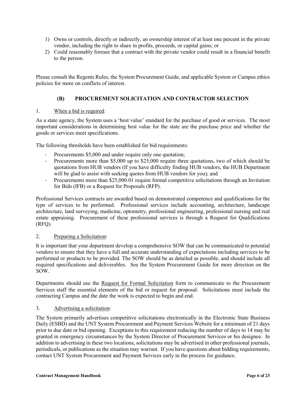- 1) Owns or controls, directly or indirectly, an ownership interest of at least one percent in the private vendor, including the right to share in profits, proceeds, or capital gains; or
- 2) Could reasonably foresee that a contract with the private vendor could result in a financial benefit to the person.

Please consult the Regents Rules, the System Procurement Guide, and applicable System or Campus ethics policies for more on conflicts of interest.

# **(B) PROCUREMENT SOLICITATION AND CONTRACTOR SELECTION**

## <span id="page-6-0"></span>1. When a bid is required:

As a state agency, the System uses a 'best value' standard for the purchase of good or services. The most important considerations in determining best value for the state are the purchase price and whether the goods or services meet specifications.

The following thresholds have been established for bid requirements:

- Procurements \$5,000 and under require only one quotation;
- Procurements more than \$5,000 up to \$25,000 require three quotations, two of which should be quotations from HUB vendors (If you have difficulty finding HUB vendors, the HUB Department will be glad to assist with seeking quotes from HUB vendors for you); and
- Procurements more than \$25,000.01 require formal competitive solicitations through an Invitation for Bids (IFB) or a Request for Proposals (RFP).

Professional Services contracts are awarded based on demonstrated competence and qualifications for the type of services to be performed. Professional services include accounting, architecture, landscape architecture, land surveying, medicine, optometry, professional engineering, professional nursing and real estate appraising. Procurement of these professional services is through a Request for Qualifications (RFQ).

## 2. Preparing a Solicitation:

It is important that your department develop a comprehensive SOW that can be communicated to potential vendors to ensure that they have a full and accurate understanding of expectations including services to be performed or products to be provided. The SOW should be as detailed as possible, and should include all required specifications and deliverables. See the System Procurement Guide for more direction on the SOW.

Departments should use the [Request for Formal Solicitation](http://bsc.untsystem.edu/sites/default/files/RequestForFormalSolicitation_0.pdf) form to communicate to the Procurement Services staff the essential elements of the bid or request for proposal. Solicitations must include the contracting Campus and the date the work is expected to begin and end.

# 3. Advertising a solicitation:

The System primarily advertises competitive solicitations electronically in the Electronic State Business Daily (ESBD) and the UNT System Procurement and Payment Services Website for a minimum of 21 days prior to due date or bid opening. Exceptions to this requirement reducing the number of days to 14 may be granted in emergency circumstances by the System Director of Procurement Services or his designee. In addition to advertising in these two locations, solicitations may be advertised in other professional journals, periodicals, or publications as the situation may warrant.If you have questions about bidding requirements, contact UNT System Procurement and Payment Services early in the process for guidance.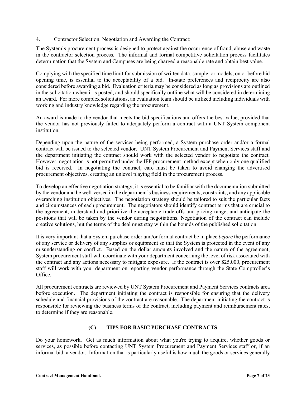## 4. Contractor Selection, Negotiation and Awarding the Contract:

The System's procurement process is designed to protect against the occurrence of fraud, abuse and waste in the contractor selection process. The informal and formal competitive solicitation process facilitates determination that the System and Campuses are being charged a reasonable rate and obtain best value.

Complying with the specified time limit for submission of written data, sample, or models, on or before bid opening time, is essential to the acceptability of a bid. In-state preferences and reciprocity are also considered before awarding a bid. Evaluation criteria may be considered as long as provisions are outlined in the solicitation when it is posted, and should specifically outline what will be considered in determining an award. For more complex solicitations, an evaluation team should be utilized including individuals with working and industry knowledge regarding the procurement.

An award is made to the vendor that meets the bid specifications and offers the best value, provided that the vendor has not previously failed to adequately perform a contract with a UNT System component institution.

Depending upon the nature of the services being performed, a System purchase order and/or a formal contract will be issued to the selected vendor. UNT System Procurement and Payment Services staff and the department initiating the contract should work with the selected vendor to negotiate the contract. However, negotiation is not permitted under the IFP procurement method except when only one qualified bid is received. In negotiating the contract, care must be taken to avoid changing the advertised procurement objectives, creating an unlevel playing field in the procurement process.

To develop an effective negotiation strategy, it is essential to be familiar with the documentation submitted by the vendor and be well-versed in the department's business requirements, constraints, and any applicable overarching institution objectives. The negotiation strategy should be tailored to suit the particular facts and circumstances of each procurement. The negotiators should identify contract terms that are crucial to the agreement, understand and prioritize the acceptable trade-offs and pricing range, and anticipate the positions that will be taken by the vendor during negotiations. Negotiation of the contract can include creative solutions, but the terms of the deal must stay within the bounds of the published solicitation.

It is very important that a System purchase order and/or formal contract be in place *before* the performance of any service or delivery of any supplies or equipment so that the System is protected in the event of any misunderstanding or conflict. Based on the dollar amounts involved and the nature of the agreement, System procurement staff will coordinate with your department concerning the level of risk associated with the contract and any actions necessary to mitigate exposure. If the contract is over \$25,000, procurement staff will work with your department on reporting vendor performance through the State Comptroller's Office.

All procurement contracts are reviewed by UNT System Procurement and Payment Services contracts area before execution. The department initiating the contract is responsible for ensuring that the delivery schedule and financial provisions of the contract are reasonable. The department initiating the contract is responsible for reviewing the business terms of the contract, including payment and reimbursement rates, to determine if they are reasonable.

# **(C) TIPS FOR BASIC PURCHASE CONTRACTS**

<span id="page-7-0"></span>Do your homework. Get as much information about what you're trying to acquire, whether goods or services, as possible before contacting UNT System Procurement and Payment Services staff or, if an informal bid, a vendor. Information that is particularly useful is how much the goods or services generally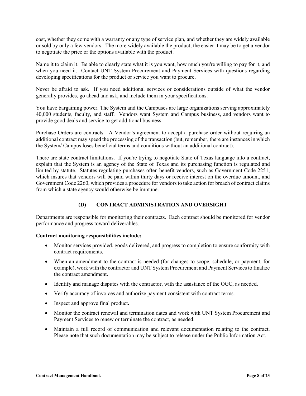cost, whether they come with a warranty or any type of service plan, and whether they are widely available or sold by only a few vendors. The more widely available the product, the easier it may be to get a vendor to negotiate the price or the options available with the product.

Name it to claim it. Be able to clearly state what it is you want, how much you're willing to pay for it, and when you need it. Contact UNT System Procurement and Payment Services with questions regarding developing specifications for the product or service you want to procure.

Never be afraid to ask. If you need additional services or considerations outside of what the vendor generally provides, go ahead and ask, and include them in your specifications.

You have bargaining power. The System and the Campuses are large organizations serving approximately 40,000 students, faculty, and staff. Vendors want System and Campus business, and vendors want to provide good deals and service to get additional business.

Purchase Orders are contracts. A Vendor's agreement to accept a purchase order without requiring an additional contract may speed the processing of the transaction (but, remember, there are instances in which the System/ Campus loses beneficial terms and conditions without an additional contract).

There are state contract limitations. If you're trying to negotiate State of Texas language into a contract, explain that the System is an agency of the State of Texas and its purchasing function is regulated and limited by statute. Statutes regulating purchases often benefit vendors, such as Government Code 2251, which insures that vendors will be paid within thirty days or receive interest on the overdue amount, and Government Code 2260, which provides a procedure for vendors to take action for breach of contract claims from which a state agency would otherwise be immune.

# **(D) CONTRACT ADMINISTRATION AND OVERSIGHT**

<span id="page-8-0"></span>Departments are responsible for monitoring their contracts. Each contract should be monitored for vendor performance and progress toward deliverables.

## **Contract monitoring responsibilities include:**

- Monitor services provided, goods delivered, and progress to completion to ensure conformity with contract requirements.
- When an amendment to the contract is needed (for changes to scope, schedule, or payment, for example), work with the contractor and UNT System Procurement and Payment Services to finalize the contract amendment.
- Identify and manage disputes with the contractor, with the assistance of the OGC, as needed.
- Verify accuracy of invoices and authorize payment consistent with contract terms.
- Inspect and approve final product**.**
- Monitor the contract renewal and termination dates and work with UNT System Procurement and Payment Services to renew or terminate the contract, as needed.
- Maintain a full record of communication and relevant documentation relating to the contract. Please note that such documentation may be subject to release under the Public Information Act.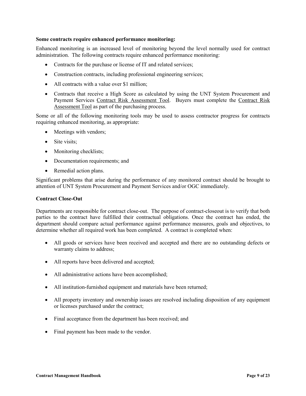#### **Some contracts require enhanced performance monitoring:**

Enhanced monitoring is an increased level of monitoring beyond the level normally used for contract administration. The following contracts require enhanced performance monitoring:

- Contracts for the purchase or license of IT and related services;
- Construction contracts, including professional engineering services;
- All contracts with a value over \$1 million;
- Contracts that receive a High Score as calculated by using the UNT System Procurement and Payment Services Contract Risk Assessment Tool. Buyers must complete the Contract Risk Assessment Tool as part of the purchasing process.

Some or all of the following monitoring tools may be used to assess contractor progress for contracts requiring enhanced monitoring, as appropriate:

- Meetings with vendors;
- Site visits:
- Monitoring checklists;
- Documentation requirements; and
- Remedial action plans.

Significant problems that arise during the performance of any monitored contract should be brought to attention of UNT System Procurement and Payment Services and/or OGC immediately.

#### **Contract Close-Out**

Departments are responsible for contract close-out. The purpose of contract-closeout is to verify that both parties to the contract have fulfilled their contractual obligations. Once the contract has ended, the department should compare actual performance against performance measures, goals and objectives, to determine whether all required work has been completed. A contract is completed when:

- All goods or services have been received and accepted and there are no outstanding defects or warranty claims to address;
- All reports have been delivered and accepted;
- All administrative actions have been accomplished;
- All institution-furnished equipment and materials have been returned;
- All property inventory and ownership issues are resolved including disposition of any equipment or licenses purchased under the contract;
- Final acceptance from the department has been received; and
- Final payment has been made to the vendor.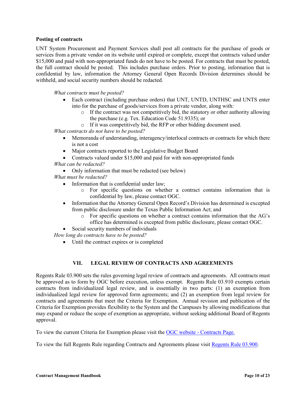#### **Posting of contracts**

UNT System Procurement and Payment Services shall post all contracts for the purchase of goods or services from a private vendor on its website until expired or complete, except that contracts valued under \$15,000 and paid with non-appropriated funds do not have to be posted. For contracts that must be posted, the full contract should be posted. This includes purchase orders. Prior to posting, information that is confidential by law, information the Attorney General Open Records Division determines should be withheld, and social security numbers should be redacted.

*What contracts must be posted?*

- Each contract (including purchase orders) that UNT, UNTD, UNTHSC and UNTS enter into for the purchase of goods/services from a private vendor, along with:
	- $\circ$  If the contract was not competitively bid, the statutory or other authority allowing the purchase (e.g. Tex. Education Code 51.9335); or
	- o If it was competitively bid, the RFP or other bidding document used.

*What contracts do not have to be posted?*

- Memoranda of understanding, interagency/interlocal contracts or contracts for which there is not a cost
- Major contracts reported to the Legislative Budget Board
- Contracts valued under \$15,000 and paid for with non-appropriated funds

*What can be redacted?*

• Only information that must be redacted (see below)

*What must be redacted?*

- Information that is confidential under law;
	- o For specific questions on whether a contract contains information that is confidential by law, please contact OGC.
- Information that the Attorney General Open Record's Division has determined is excepted from public disclosure under the Texas Public Information Act; and
	- o For specific questions on whether a contract contains information that the AG's office has determined is excepted from public disclosure, please contact OGC.
- Social security numbers of individuals

<span id="page-10-0"></span>*How long do contracts have to be posted?*

• Until the contract expires or is completed

## **VII. LEGAL REVIEW OF CONTRACTS AND AGREEMENTS**

Regents Rule 03.900 sets the rules governing legal review of contracts and agreements. All contracts must be approved as to form by OGC before execution, unless exempt. Regents Rule 03.910 exempts certain contracts from individualized legal review, and is essentially in two parts: (1) an exemption from individualized legal review for approved form agreements; and (2) an exemption from legal review for contracts and agreements that meet the Criteria for Exemption. Annual revision and publication of the Criteria for Exemption provides flexibility to the System and the Campuses by allowing modifications that may expand or reduce the scope of exemption as appropriate, without seeking additional Board of Regents approval.

To view the current Criteria for Exemption please visit the OGC website - [Contracts Page.](https://www.untsystem.edu/offices/general-counsel/contracts/contracts.php)

To view the full Regents Rule regarding Contracts and Agreements please visit [Regents Rule 03.900.](https://www.untsystem.edu/board-regents/documents/rr/rr_03.900_delegation_of_authority_for_contracts_and_agreements_00252210xc146b.pdf)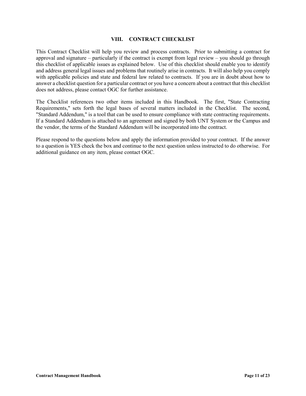#### **VIII. CONTRACT CHECKLIST**

<span id="page-11-0"></span>This Contract Checklist will help you review and process contracts. Prior to submitting a contract for approval and signature – particularly if the contract is exempt from legal review – you should go through this checklist of applicable issues as explained below. Use of this checklist should enable you to identify and address general legal issues and problems that routinely arise in contracts. It will also help you comply with applicable policies and state and federal law related to contracts. If you are in doubt about how to answer a checklist question for a particular contract or you have a concern about a contract that this checklist does not address, please contact OGC for further assistance.

The Checklist references two other items included in this Handbook. The first, "State Contracting Requirements," sets forth the legal bases of several matters included in the Checklist. The second, "Standard Addendum," is a tool that can be used to ensure compliance with state contracting requirements. If a Standard Addendum is attached to an agreement and signed by both UNT System or the Campus and the vendor, the terms of the Standard Addendum will be incorporated into the contract.

Please respond to the questions below and apply the information provided to your contract. If the answer to a question is YES check the box and continue to the next question unless instructed to do otherwise. For additional guidance on any item, please contact OGC.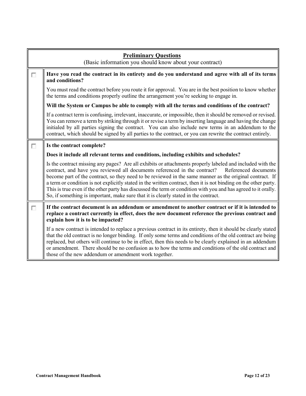|   | <b>Preliminary Questions</b><br>(Basic information you should know about your contract)                                                                                                                                                                                                                                                                                                                                                                                                                                                                                                                                                                 |  |
|---|---------------------------------------------------------------------------------------------------------------------------------------------------------------------------------------------------------------------------------------------------------------------------------------------------------------------------------------------------------------------------------------------------------------------------------------------------------------------------------------------------------------------------------------------------------------------------------------------------------------------------------------------------------|--|
| П | Have you read the contract in its entirety and do you understand and agree with all of its terms<br>and conditions?                                                                                                                                                                                                                                                                                                                                                                                                                                                                                                                                     |  |
|   | You must read the contract before you route it for approval. You are in the best position to know whether<br>the terms and conditions properly outline the arrangement you're seeking to engage in.                                                                                                                                                                                                                                                                                                                                                                                                                                                     |  |
|   | Will the System or Campus be able to comply with all the terms and conditions of the contract?                                                                                                                                                                                                                                                                                                                                                                                                                                                                                                                                                          |  |
|   | If a contract term is confusing, irrelevant, inaccurate, or impossible, then it should be removed or revised.<br>You can remove a term by striking through it or revise a term by inserting language and having the change<br>initialed by all parties signing the contract. You can also include new terms in an addendum to the<br>contract, which should be signed by all parties to the contract, or you can rewrite the contract entirely.                                                                                                                                                                                                         |  |
| п | Is the contract complete?                                                                                                                                                                                                                                                                                                                                                                                                                                                                                                                                                                                                                               |  |
|   | Does it include all relevant terms and conditions, including exhibits and schedules?                                                                                                                                                                                                                                                                                                                                                                                                                                                                                                                                                                    |  |
|   | Is the contract missing any pages? Are all exhibits or attachments properly labeled and included with the<br>contract, and have you reviewed all documents referenced in the contract?<br>Referenced documents<br>become part of the contract, so they need to be reviewed in the same manner as the original contract. If<br>a term or condition is not explicitly stated in the written contract, then it is not binding on the other party.<br>This is true even if the other party has discussed the term or condition with you and has agreed to it orally.<br>So, if something is important, make sure that it is clearly stated in the contract. |  |
| П | If the contract document is an addendum or amendment to another contract or if it is intended to<br>replace a contract currently in effect, does the new document reference the previous contract and<br>explain how it is to be impacted?                                                                                                                                                                                                                                                                                                                                                                                                              |  |
|   | If a new contract is intended to replace a previous contract in its entirety, then it should be clearly stated<br>that the old contract is no longer binding. If only some terms and conditions of the old contract are being<br>replaced, but others will continue to be in effect, then this needs to be clearly explained in an addendum<br>or amendment. There should be no confusion as to how the terms and conditions of the old contract and<br>those of the new addendum or amendment work together.                                                                                                                                           |  |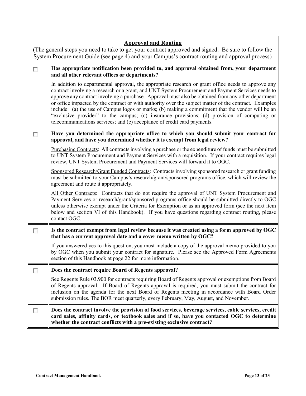|   | <b>Approval and Routing</b>                                                                                                                                                                                                                                                                                                                                                                                                                                                                                                                                                                                                                                                                                |  |  |
|---|------------------------------------------------------------------------------------------------------------------------------------------------------------------------------------------------------------------------------------------------------------------------------------------------------------------------------------------------------------------------------------------------------------------------------------------------------------------------------------------------------------------------------------------------------------------------------------------------------------------------------------------------------------------------------------------------------------|--|--|
|   | (The general steps you need to take to get your contract approved and signed. Be sure to follow the<br>System Procurement Guide (see page 4) and your Campus's contract routing and approval process)                                                                                                                                                                                                                                                                                                                                                                                                                                                                                                      |  |  |
| Г | Has appropriate notification been provided to, and approval obtained from, your department<br>and all other relevant offices or departments?                                                                                                                                                                                                                                                                                                                                                                                                                                                                                                                                                               |  |  |
|   | In addition to departmental approval, the appropriate research or grant office needs to approve any<br>contract involving a research or a grant, and UNT System Procurement and Payment Services needs to<br>approve any contract involving a purchase. Approval must also be obtained from any other department<br>or office impacted by the contract or with authority over the subject matter of the contract. Examples<br>include: (a) the use of Campus logos or marks; (b) making a commitment that the vendor will be an<br>"exclusive provider" to the campus; (c) insurance provisions; (d) provision of computing or<br>telecommunications services; and (e) acceptance of credit card payments. |  |  |
| г | Have you determined the appropriate office to which you should submit your contract for<br>approval, and have you determined whether it is exempt from legal review?                                                                                                                                                                                                                                                                                                                                                                                                                                                                                                                                       |  |  |
|   | Purchasing Contracts: All contracts involving a purchase or the expenditure of funds must be submitted<br>to UNT System Procurement and Payment Services with a requisition. If your contract requires legal<br>review, UNT System Procurement and Payment Services will forward it to OGC.                                                                                                                                                                                                                                                                                                                                                                                                                |  |  |
|   | Sponsored Research/Grant Funded Contracts: Contracts involving sponsored research or grant funding<br>must be submitted to your Campus's research/grant/sponsored programs office, which will review the<br>agreement and route it appropriately.                                                                                                                                                                                                                                                                                                                                                                                                                                                          |  |  |
|   | All Other Contracts: Contracts that do not require the approval of UNT System Procurement and<br>Payment Services or research/grant/sponsored programs office should be submitted directly to OGC<br>unless otherwise exempt under the Criteria for Exemption or as an approved form (see the next item<br>below and section VI of this Handbook). If you have questions regarding contract routing, please<br>contact OGC.                                                                                                                                                                                                                                                                                |  |  |
| г | Is the contract exempt from legal review because it was created using a form approved by OGC<br>that has a current approval date and a cover memo written by OGC?                                                                                                                                                                                                                                                                                                                                                                                                                                                                                                                                          |  |  |
|   | If you answered yes to this question, you must include a copy of the approval memo provided to you<br>by OGC when you submit your contract for signature. Please see the Approved Form Agreements<br>section of this Handbook at page 22 for more information.                                                                                                                                                                                                                                                                                                                                                                                                                                             |  |  |
|   | Does the contract require Board of Regents approval?                                                                                                                                                                                                                                                                                                                                                                                                                                                                                                                                                                                                                                                       |  |  |
|   | See Regents Rule 03.900 for contracts requiring Board of Regents approval or exemptions from Board<br>of Regents approval. If Board of Regents approval is required, you must submit the contract for<br>inclusion on the agenda for the next Board of Regents meeting in accordance with Board Order<br>submission rules. The BOR meet quarterly, every February, May, August, and November.                                                                                                                                                                                                                                                                                                              |  |  |
| п | Does the contract involve the provision of food services, beverage services, cable services, credit<br>card sales, affinity cards, or textbook sales and if so, have you contacted OGC to determine<br>whether the contract conflicts with a pre-existing exclusive contract?                                                                                                                                                                                                                                                                                                                                                                                                                              |  |  |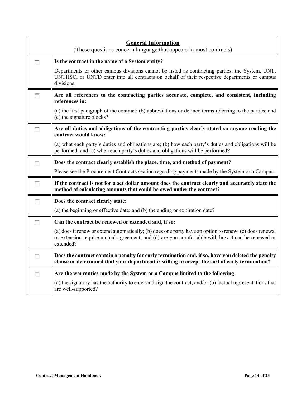| <b>General Information</b><br>(These questions concern language that appears in most contracts) |                                                                                                                                                                                                                          |
|-------------------------------------------------------------------------------------------------|--------------------------------------------------------------------------------------------------------------------------------------------------------------------------------------------------------------------------|
| П                                                                                               | Is the contract in the name of a System entity?                                                                                                                                                                          |
|                                                                                                 | Departments or other campus divisions cannot be listed as contracting parties; the System, UNT,<br>UNTHSC, or UNTD enter into all contracts on behalf of their respective departments or campus<br>divisions.            |
| г                                                                                               | Are all references to the contracting parties accurate, complete, and consistent, including<br>references in:                                                                                                            |
|                                                                                                 | (a) the first paragraph of the contract; (b) abbreviations or defined terms referring to the parties; and<br>(c) the signature blocks?                                                                                   |
| г                                                                                               | Are all duties and obligations of the contracting parties clearly stated so anyone reading the<br>contract would know:                                                                                                   |
|                                                                                                 | (a) what each party's duties and obligations are; (b) how each party's duties and obligations will be<br>performed; and (c) when each party's duties and obligations will be performed?                                  |
| П                                                                                               | Does the contract clearly establish the place, time, and method of payment?                                                                                                                                              |
|                                                                                                 | Please see the Procurement Contracts section regarding payments made by the System or a Campus.                                                                                                                          |
| E                                                                                               | If the contract is not for a set dollar amount does the contract clearly and accurately state the<br>method of calculating amounts that could be owed under the contract?                                                |
| Г                                                                                               | Does the contract clearly state:                                                                                                                                                                                         |
|                                                                                                 | (a) the beginning or effective date; and (b) the ending or expiration date?                                                                                                                                              |
| П                                                                                               | Can the contract be renewed or extended and, if so:                                                                                                                                                                      |
|                                                                                                 | (a) does it renew or extend automatically; (b) does one party have an option to renew; (c) does renewal<br>or extension require mutual agreement; and (d) are you comfortable with how it can be renewed or<br>extended? |
| П                                                                                               | Does the contract contain a penalty for early termination and, if so, have you deleted the penalty<br>clause or determined that your department is willing to accept the cost of early termination?                      |
| Г                                                                                               | Are the warranties made by the System or a Campus limited to the following:                                                                                                                                              |
|                                                                                                 | (a) the signatory has the authority to enter and sign the contract; and/or (b) factual representations that<br>are well-supported?                                                                                       |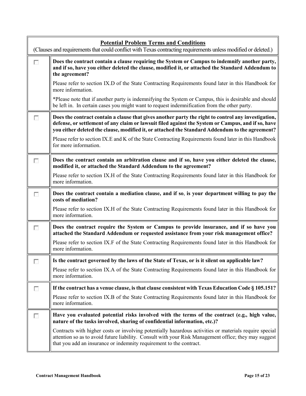| <b>Potential Problem Terms and Conditions</b><br>(Clauses and requirements that could conflict with Texas contracting requirements unless modified or deleted.) |                                                                                                                                                                                                                                                                                                              |  |
|-----------------------------------------------------------------------------------------------------------------------------------------------------------------|--------------------------------------------------------------------------------------------------------------------------------------------------------------------------------------------------------------------------------------------------------------------------------------------------------------|--|
| $\sim$                                                                                                                                                          | Does the contract contain a clause requiring the System or Campus to indemnify another party,<br>and if so, have you either deleted the clause, modified it, or attached the Standard Addendum to<br>the agreement?                                                                                          |  |
|                                                                                                                                                                 | Please refer to section IX.D of the State Contracting Requirements found later in this Handbook for<br>more information.                                                                                                                                                                                     |  |
|                                                                                                                                                                 | *Please note that if another party is indemnifying the System or Campus, this is desirable and should<br>be left in. In certain cases you might want to request indemnification from the other party.                                                                                                        |  |
| П                                                                                                                                                               | Does the contract contain a clause that gives another party the right to control any investigation,<br>defense, or settlement of any claim or lawsuit filed against the System or Campus, and if so, have<br>you either deleted the clause, modified it, or attached the Standard Addendum to the agreement? |  |
|                                                                                                                                                                 | Please refer to section IX.E and K of the State Contracting Requirements found later in this Handbook<br>for more information.                                                                                                                                                                               |  |
| п                                                                                                                                                               | Does the contract contain an arbitration clause and if so, have you either deleted the clause,<br>modified it, or attached the Standard Addendum to the agreement?                                                                                                                                           |  |
|                                                                                                                                                                 | Please refer to section IX.H of the State Contracting Requirements found later in this Handbook for<br>more information.                                                                                                                                                                                     |  |
| г                                                                                                                                                               | Does the contract contain a mediation clause, and if so, is your department willing to pay the<br>costs of mediation?                                                                                                                                                                                        |  |
|                                                                                                                                                                 | Please refer to section IX.H of the State Contracting Requirements found later in this Handbook for<br>more information.                                                                                                                                                                                     |  |
| П                                                                                                                                                               | Does the contract require the System or Campus to provide insurance, and if so have you<br>attached the Standard Addendum or requested assistance from your risk management office?                                                                                                                          |  |
|                                                                                                                                                                 | Please refer to section IX.F of the State Contracting Requirements found later in this Handbook for<br>more information.                                                                                                                                                                                     |  |
| Ł.                                                                                                                                                              | Is the contract governed by the laws of the State of Texas, or is it silent on applicable law?                                                                                                                                                                                                               |  |
|                                                                                                                                                                 | Please refer to section IX.A of the State Contracting Requirements found later in this Handbook for<br>more information.                                                                                                                                                                                     |  |
| п                                                                                                                                                               | If the contract has a venue clause, is that clause consistent with Texas Education Code § 105.151?                                                                                                                                                                                                           |  |
|                                                                                                                                                                 | Please refer to section IX.B of the State Contracting Requirements found later in this Handbook for<br>more information.                                                                                                                                                                                     |  |
| п                                                                                                                                                               | Have you evaluated potential risks involved with the terms of the contract (e.g., high value,<br>nature of the tasks involved, sharing of confidential information, etc.)?                                                                                                                                   |  |
|                                                                                                                                                                 | Contracts with higher costs or involving potentially hazardous activities or materials require special<br>attention so as to avoid future liability. Consult with your Risk Management office; they may suggest<br>that you add an insurance or indemnity requirement to the contract.                       |  |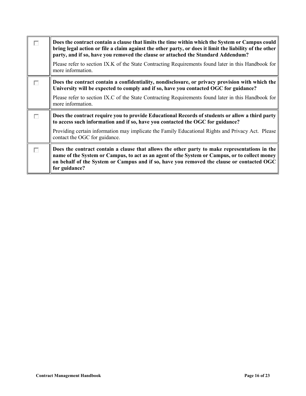|   | Does the contract contain a clause that limits the time within which the System or Campus could<br>bring legal action or file a claim against the other party, or does it limit the liability of the other<br>party, and if so, have you removed the clause or attached the Standard Addendum?               |
|---|--------------------------------------------------------------------------------------------------------------------------------------------------------------------------------------------------------------------------------------------------------------------------------------------------------------|
|   | Please refer to section IX.K of the State Contracting Requirements found later in this Handbook for<br>more information.                                                                                                                                                                                     |
| г | Does the contract contain a confidentiality, nondisclosure, or privacy provision with which the<br>University will be expected to comply and if so, have you contacted OGC for guidance?                                                                                                                     |
|   | Please refer to section IX.C of the State Contracting Requirements found later in this Handbook for<br>more information.                                                                                                                                                                                     |
| г | Does the contract require you to provide Educational Records of students or allow a third party<br>to access such information and if so, have you contacted the OGC for guidance?                                                                                                                            |
|   | Providing certain information may implicate the Family Educational Rights and Privacy Act. Please<br>contact the OGC for guidance.                                                                                                                                                                           |
| г | Does the contract contain a clause that allows the other party to make representations in the<br>name of the System or Campus, to act as an agent of the System or Campus, or to collect money<br>on behalf of the System or Campus and if so, have you removed the clause or contacted OGC<br>for guidance? |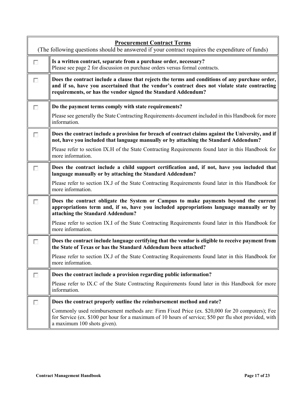|        | <b>Procurement Contract Terms</b><br>(The following questions should be answered if your contract requires the expenditure of funds)                                                                                                                              |
|--------|-------------------------------------------------------------------------------------------------------------------------------------------------------------------------------------------------------------------------------------------------------------------|
| F      | Is a written contract, separate from a purchase order, necessary?<br>Please see page 2 for discussion on purchase orders versus formal contracts.                                                                                                                 |
| П      | Does the contract include a clause that rejects the terms and conditions of any purchase order,<br>and if so, have you ascertained that the vendor's contract does not violate state contracting<br>requirements, or has the vendor signed the Standard Addendum? |
| п      | Do the payment terms comply with state requirements?<br>Please see generally the State Contracting Requirements document included in this Handbook for more                                                                                                       |
|        | information.                                                                                                                                                                                                                                                      |
| п      | Does the contract include a provision for breach of contract claims against the University, and if<br>not, have you included that language manually or by attaching the Standard Addendum?                                                                        |
|        | Please refer to section IX.H of the State Contracting Requirements found later in this Handbook for<br>more information.                                                                                                                                          |
|        | Does the contract include a child support certification and, if not, have you included that<br>language manually or by attaching the Standard Addendum?                                                                                                           |
|        | Please refer to section IX.J of the State Contracting Requirements found later in this Handbook for<br>more information.                                                                                                                                          |
| п      | Does the contract obligate the System or Campus to make payments beyond the current<br>appropriations term and, if so, have you included appropriations language manually or by<br>attaching the Standard Addendum?                                               |
|        | Please refer to section IX.I of the State Contracting Requirements found later in this Handbook for<br>more information.                                                                                                                                          |
| □      | Does the contract include language certifying that the vendor is eligible to receive payment from<br>the State of Texas or has the Standard Addendum been attached?                                                                                               |
|        | Please refer to section IX.J of the State Contracting Requirements found later in this Handbook for<br>more information.                                                                                                                                          |
| $\sim$ | Does the contract include a provision regarding public information?                                                                                                                                                                                               |
|        | Please refer to IX.C of the State Contracting Requirements found later in this Handbook for more<br>information.                                                                                                                                                  |
| H      | Does the contract properly outline the reimbursement method and rate?                                                                                                                                                                                             |
|        | Commonly used reimbursement methods are: Firm Fixed Price (ex. \$20,000 for 20 computers); Fee<br>for Service (ex. \$100 per hour for a maximum of 10 hours of service; \$50 per flu shot provided, with<br>a maximum 100 shots given).                           |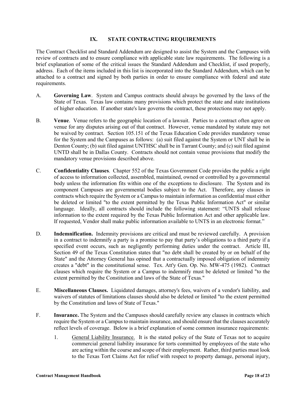#### **IX. STATE CONTRACTING REQUIREMENTS**

<span id="page-18-0"></span>The Contract Checklist and Standard Addendum are designed to assist the System and the Campuses with review of contracts and to ensure compliance with applicable state law requirements. The following is a brief explanation of some of the critical issues the Standard Addendum and Checklist, if used properly, address. Each of the items included in this list is incorporated into the Standard Addendum, which can be attached to a contract and signed by both parties in order to ensure compliance with federal and state requirements.

- A. **Governing Law**. System and Campus contracts should always be governed by the laws of the State of Texas. Texas law contains many provisions which protect the state and state institutions of higher education. If another state's law governs the contract, these protections may not apply.
- B. **Venue**. Venue refers to the geographic location of a lawsuit. Parties to a contract often agree on venue for any disputes arising out of that contract. However, venue mandated by statute may not be waived by contract. Section 105.151 of the Texas Education Code provides mandatory venue for the System and the Campuses as follows: (a) suit filed against the System or UNT shall be in Denton County; (b) suit filed against UNTHSC shall be in Tarrant County; and (c) suit filed against UNTD shall be in Dallas County. Contracts should not contain venue provisions that modify the mandatory venue provisions described above.
- C. **Confidentiality Clauses**. Chapter 552 of the Texas Government Code provides the public a right of access to information collected, assembled, maintained, owned or controlled by a governmental body unless the information fits within one of the exceptions to disclosure. The System and its component Campuses are governmental bodies subject to the Act. Therefore, any clauses in contracts which require the System or a Campus to maintain information as confidential must either be deleted or limited "to the extent permitted by the Texas Public Information Act" or similar language. Ideally, all contracts should include the following statement: "UNTS shall release information to the extent required by the Texas Public Information Act and other applicable law. If requested, Vendor shall make public information available to UNTS in an electronic format."
- D. **Indemnification.** Indemnity provisions are critical and must be reviewed carefully. A provision in a contract to indemnify a party is a promise to pay that party's obligations to a third party if a specified event occurs, such as negligently performing duties under the contract. Article III, Section 49 of the Texas Constitution states that "no debt shall be created by or on behalf of the State" and the Attorney General has opined that a contractually imposed obligation of indemnity creates a "debt" in the constitutional sense. Tex. Att'y Gen. Op. No. MW-475 (1982). Contract clauses which require the System or a Campus to indemnify must be deleted or limited "to the extent permitted by the Constitution and laws of the State of Texas."
- E. **Miscellaneous Clauses.** Liquidated damages, attorney's fees, waivers of a vendor's liability, and waivers of statutes of limitations clauses should also be deleted or limited "to the extent permitted by the Constitution and laws of State of Texas."
- F. **Insurance.** The System and the Campuses should carefully review any clauses in contracts which require the System or a Campus to maintain insurance, and should ensure that the clauses accurately reflect levels of coverage. Below is a brief explanation of some common insurance requirements:
	- 1. General Liability Insurance. It is the stated policy of the State of Texas not to acquire commercial general liability insurance for torts committed by employees of the state who are acting within the course and scope of their employment. Rather, third parties must look to the Texas Tort Claims Act for relief with respect to property damage, personal injury,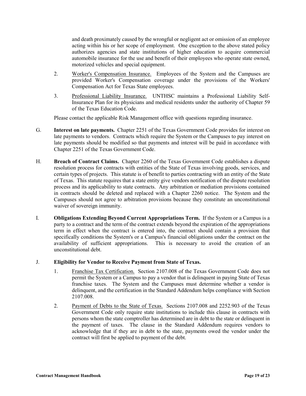and death proximately caused by the wrongful or negligent act or omission of an employee acting within his or her scope of employment. One exception to the above stated policy authorizes agencies and state institutions of higher education to acquire commercial automobile insurance for the use and benefit of their employees who operate state owned, motorized vehicles and special equipment.

- 2. Worker's Compensation Insurance. Employees of the System and the Campuses are provided Worker's Compensation coverage under the provisions of the Workers' Compensation Act for Texas State employees.
- 3. Professional Liability Insurance. UNTHSC maintains a Professional Liability Self-Insurance Plan for its physicians and medical residents under the authority of Chapter 59 of the Texas Education Code.

Please contact the applicable Risk Management office with questions regarding insurance.

- G. **Interest on late payments.** Chapter 2251 of the Texas Government Code provides for interest on late payments to vendors. Contracts which require the System or the Campuses to pay interest on late payments should be modified so that payments and interest will be paid in accordance with Chapter 2251 of the Texas Government Code.
- H. **Breach of Contract Claims.** Chapter 2260 of the Texas Government Code establishes a dispute resolution process for contracts with entities of the State of Texas involving goods, services, and certain types of projects. This statute is of benefit to parties contracting with an entity of the State of Texas. This statute requires that a state entity give vendors notification of the dispute resolution process and its applicability to state contracts. Any arbitration or mediation provisions contained in contracts should be deleted and replaced with a Chapter 2260 notice. The System and the Campuses should not agree to arbitration provisions because they constitute an unconstitutional waiver of sovereign immunity.
- I. **Obligations Extending Beyond Current Appropriations Term.** If the System or a Campus is a party to a contract and the term of the contract extends beyond the expiration of the appropriations term in effect when the contract is entered into, the contract should contain a provision that specifically conditions the System's or a Campus's financial obligations under the contract on the availability of sufficient appropriations. This is necessary to avoid the creation of an unconstitutional debt.

## J. **Eligibility for Vendor to Receive Payment from State of Texas.**

- 1. Franchise Tax Certification. Section 2107.008 of the Texas Government Code does not permit the System or a Campus to pay a vendor that is delinquent in paying State of Texas franchise taxes. The System and the Campuses must determine whether a vendor is delinquent, and the certification in the Standard Addendum helps compliance with Section 2107.008.
- 2. Payment of Debts to the State of Texas. Sections 2107.008 and 2252.903 of the Texas Government Code only require state institutions to include this clause in contracts with persons whom the state comptroller has determined are in debt to the state or delinquent in the payment of taxes. The clause in the Standard Addendum requires vendors to acknowledge that if they are in debt to the state, payments owed the vendor under the contract will first be applied to payment of the debt.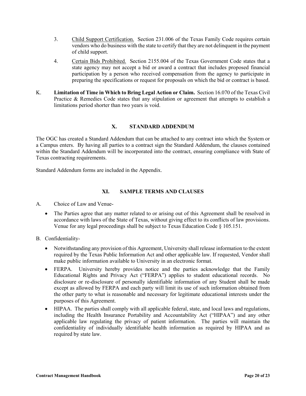- 3. Child Support Certification. Section 231.006 of the Texas Family Code requires certain vendors who do business with the state to certify that they are not delinquent in the payment of child support.
- 4. Certain Bids Prohibited. Section 2155.004 of the Texas Government Code states that a state agency may not accept a bid or award a contract that includes proposed financial participation by a person who received compensation from the agency to participate in preparing the specifications or request for proposals on which the bid or contract is based.
- K. **Limitation of Time in Which to Bring Legal Action or Claim.** Section 16.070 of the Texas Civil Practice & Remedies Code states that any stipulation or agreement that attempts to establish a limitations period shorter than two years is void.

# **X. STANDARD ADDENDUM**

<span id="page-20-0"></span>The OGC has created a Standard Addendum that can be attached to any contract into which the System or a Campus enters. By having all parties to a contract sign the Standard Addendum, the clauses contained within the Standard Addendum will be incorporated into the contract, ensuring compliance with State of Texas contracting requirements.

<span id="page-20-1"></span>Standard Addendum forms are included in the Appendix.

## **XI. SAMPLE TERMS AND CLAUSES**

A. Choice of Law and Venue-

• The Parties agree that any matter related to or arising out of this Agreement shall be resolved in accordance with laws of the State of Texas, without giving effect to its conflicts of law provisions. Venue for any legal proceedings shall be subject to Texas Education Code § 105.151.

## B. Confidentiality-

- Notwithstanding any provision of this Agreement, University shall release information to the extent required by the Texas Public Information Act and other applicable law. If requested, Vendor shall make public information available to University in an electronic format.
- FERPA. University hereby provides notice and the parties acknowledge that the Family Educational Rights and Privacy Act ("FERPA") applies to student educational records. No disclosure or re-disclosure of personally identifiable information of any Student shall be made except as allowed by FERPA and each party will limit its use of such information obtained from the other party to what is reasonable and necessary for legitimate educational interests under the purposes of this Agreement.
- HIPAA. The parties shall comply with all applicable federal, state, and local laws and regulations, including the Health Insurance Portability and Accountability Act ("HIPAA") and any other applicable law regulating the privacy of patient information. The parties will maintain the confidentiality of individually identifiable health information as required by HIPAA and as required by state law.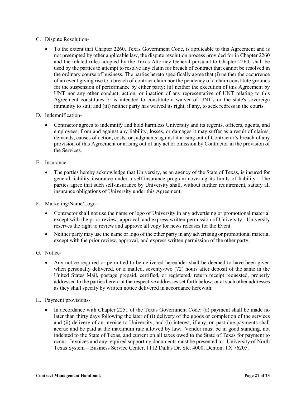- C. Dispute Resolution-
	- To the extent that Chapter 2260, Texas Government Code, is applicable to this Agreement and is not preempted by other applicable law, the dispute resolution process provided for in Chapter 2260 and the related rules adopted by the Texas Attorney General pursuant to Chapter 2260, shall be used by the parties to attempt to resolve any claim for breach of contract that cannot be resolved in the ordinary course of business. The parties hereto specifically agree that (i) neither the occurrence of an event giving rise to a breach of contract claim nor the pendency of a claim constitute grounds for the suspension of performance by either party; (ii) neither the execution of this Agreement by UNT nor any other conduct, action, or inaction of any representative of UNT relating to this Agreement constitutes or is intended to constitute a waiver of UNT's or the state's sovereign immunity to suit; and (iii) neither party has waived its right, if any, to seek redress in the courts.
- D. Indemnification-
	- Contractor agrees to indemnify and hold harmless University and its regents, officers, agents, and employees, from and against any liability, losses, or damages it may suffer as a result of claims, demands, causes of action, costs, or judgments against it arising out of Contractor's breach of any provision of this Agreement or arising out of any act or omission by Contractor in the provision of the Services.
- E. Insurance-
	- The parties hereby acknowledge that University, as an agency of the State of Texas, is insured for general liability insurance under a self-insurance program covering its limits of liability. The parties agree that such self-insurance by University shall, without further requirement, satisfy all insurance obligations of University under this Agreement.
- F. Marketing/Name/Logo-
	- Contractor shall not use the name or logo of University in any advertising or promotional material except with the prior review, approval, and express written permission of University. University reserves the right to review and approve all copy for news releases for the Event.
	- Neither party may use the name or logo of the other party in any advertising or promotional material except with the prior review, approval, and express written permission of the other party.
- G. Notice-
	- Any notice required or permitted to be delivered hereunder shall be deemed to have been given when personally delivered, or if mailed, seventy-two (72) hours after deposit of the same in the United States Mail, postage prepaid, certified, or registered, return receipt requested, properly addressed to the parties hereto at the respective addresses set forth below, or at such other addresses as they shall specify by written notice delivered in accordance herewith:
- H. Payment provisions-
	- In accordance with Chapter 2251 of the Texas Government Code: (a) payment shall be made no later than thirty days following the later of (i) delivery of the goods or completion of the services and (ii) delivery of an invoice to University; and (b) interest, if any, on past due payments shall accrue and be paid at the maximum rate allowed by law. Vendor must be in good standing, not indebted to the State of Texas, and current on all taxes owed to the State of Texas for payment to occur. Invoices and any required supporting documents must be presented to: University of North Texas System – Business Service Center, 1112 Dallas Dr. Ste. 4000, Denton, TX 76205.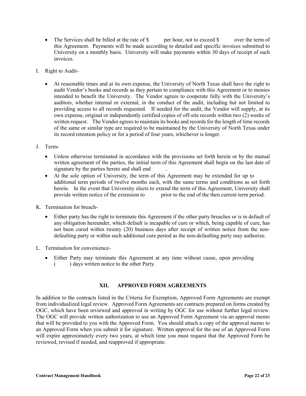- The Services shall be billed at the rate of \$ per hour, not to exceed \$ over the term of this Agreement. Payments will be made according to detailed and specific invoices submitted to University on a monthly basis. University will make payments within 30 days of receipt of such invoices.
- I. Right to Audit-
	- At reasonable times and at its own expense, the University of North Texas shall have the right to audit Vendor's books and records as they pertain to compliance with this Agreement or to monies intended to benefit the University. The Vendor agrees to cooperate fully with the University's auditors, whether internal or external, in the conduct of the audit, including but not limited to providing access to all records requested. If needed for the audit, the Vendor will supply, at its own expense, original or independently certified copies of off-site records within two (2) weeks of written request. The Vendor agrees to maintain its books and records for the length of time records of the same or similar type are required to be maintained by the University of North Texas under its record retention policy or for a period of four years, whichever is longer.
- J. Term**-**
	- Unless otherwise terminated in accordance with the provisions set forth herein or by the mutual written agreement of the parties, the initial term of this Agreement shall begin on the last date of signature by the parties hereto and shall end .
	- At the sole option of University, the term of this Agreement may be extended for up to additional term periods of twelve months each, with the same terms and conditions as set forth herein. In the event that University elects to extend the term of this Agreement, University shall provide written notice of the extension to prior to the end of the then current term period.
- K. Termination for breach-
	- Either party has the right to terminate this Agreement if the other party breaches or is in default of any obligation hereunder, which default is incapable of cure or which, being capable of cure, has not been cured within twenty (20) business days after receipt of written notice from the nondefaulting party or within such additional cure period as the non-defaulting party may authorize.
- <span id="page-22-0"></span>L. Termination for convenience-
	- Either Party may terminate this Agreement at any time without cause, upon providing ( ) days written notice to the other Party.

# **XII. APPROVED FORM AGREEMENTS**

In addition to the contracts listed in the Criteria for Exemption, Approved Form Agreements are exempt from individualized legal review. Approved Form Agreements are contracts prepared on forms created by OGC, which have been reviewed and approved in writing by OGC for use without further legal review. The OGC will provide written authorization to use an Approved Form Agreement via an approval memo that will be provided to you with the Approved Form. You should attach a copy of the approval memo to an Approved Form when you submit it for signature. Written approval for the use of an Approved Form will expire approximately every two years, at which time you must request that the Approved Form be reviewed, revised if needed, and reapproved if appropriate.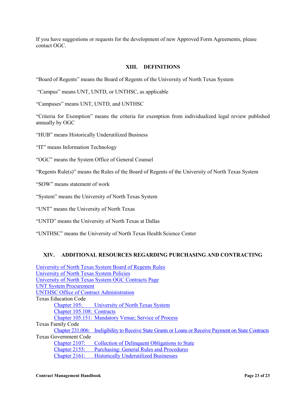<span id="page-23-0"></span>If you have suggestions or requests for the development of new Approved Form Agreements, please contact OGC.

#### **XIII. DEFINITIONS**

"Board of Regents" means the Board of Regents of the University of North Texas System

"Campus" means UNT, UNTD, or UNTHSC, as applicable

"Campuses" means UNT, UNTD, and UNTHSC

"Criteria for Exemption" means the criteria for exemption from individualized legal review published annually by OGC

"HUB" means Historically Underutilized Business

"IT" means Information Technology

"OGC" means the System Office of General Counsel

"Regents Rule(s)" means the Rules of the Board of Regents of the University of North Texas System

"SOW" means statement of work

"System" means the University of North Texas System

"UNT" means the University of North Texas

"UNTD" means the University of North Texas at Dallas

<span id="page-23-1"></span>"UNTHSC" means the University of North Texas Health Science Center

## **XIV. ADDITIONAL RESOURCES REGARDING PURCHASING AND CONTRACTING**

| University of North Texas System Board of Regents Rules |                                                                                                       |  |  |
|---------------------------------------------------------|-------------------------------------------------------------------------------------------------------|--|--|
|                                                         | University of North Texas System Policies                                                             |  |  |
|                                                         | University of North Texas System OGC Contracts Page                                                   |  |  |
| <b>UNT System Procurement</b>                           |                                                                                                       |  |  |
| <b>UNTHSC Office of Contract Administration</b>         |                                                                                                       |  |  |
| <b>Texas Education Code</b>                             |                                                                                                       |  |  |
|                                                         | Chapter 105: University of North Texas System                                                         |  |  |
| Chapter 105.108: Contracts                              |                                                                                                       |  |  |
|                                                         | Chapter 105.151: Mandatory Venue; Service of Process                                                  |  |  |
| Texas Family Code                                       |                                                                                                       |  |  |
|                                                         | Chapter 231.006: Ineligibility to Receive State Grants or Loans or Receive Payment on State Contracts |  |  |
| <b>Texas Government Code</b>                            |                                                                                                       |  |  |
| Chapter $2107$ :                                        | Collection of Delinquent Obligations to State                                                         |  |  |
| Chapter $2155$ :                                        | <b>Purchasing: General Rules and Procedures</b>                                                       |  |  |
| Chapter $2161$ :                                        | <b>Historically Underutilized Businesses</b>                                                          |  |  |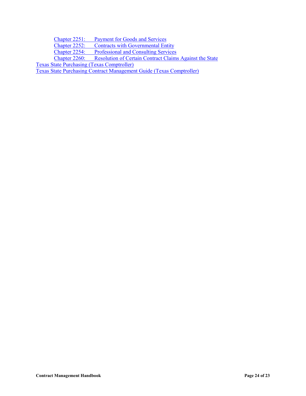Chapter 2251: [Payment for Goods and](http://www.statutes.legis.state.tx.us/Docs/GV/pdf/GV.2251.pdf) Services Chapter 2252: [Contracts with Governmental Entity](http://www.statutes.legis.state.tx.us/Docs/GV/pdf/GV.2252.pdf) Chapter 2254: [Professional and Consulting](http://www.statutes.legis.state.tx.us/Docs/GV/pdf/GV.2254.pdf) Services<br>Chapter 2260: Resolution of Certain Contract Claims [Resolution of Certain Contract Claims Against the State](http://www.statutes.legis.state.tx.us/Docs/GV/pdf/GV.2260.pdf) [Texas State Purchasing](http://www.window.state.tx.us/procurement/) [\(Texas Comptroller\)](https://www.comptroller.texas.gov/)

[Texas State Purchasing Contract Management Guide \(Texas Comptroller\)](https://comptroller.texas.gov/purchasing/publications/procurement-contract.php)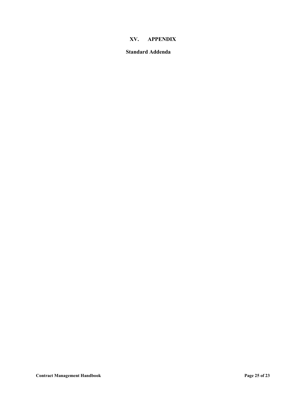# **XV. APPENDIX**

#### <span id="page-25-0"></span>**Standard Addenda**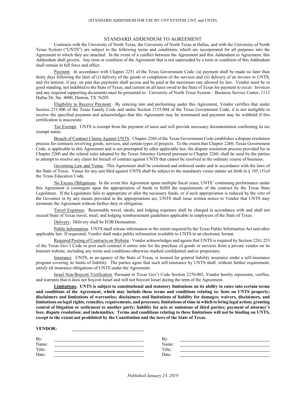#### STANDARD ADDENDUM TO AGREEMENT

Contracts with the University of North Texas, the University of North Texas at Dallas, and with the University of North Texas System ("UNTS") are subject to the following terms and conditions, which are incorporated for all purposes into the Agreement to which they are attached. In the event of a conflict between the Agreement and this Addendum to Agreement, this Addendum shall govern. Any term or condition of the Agreement that is not superseded by a term or condition of this Addendum shall remain in full force and effect.

Payment. In accordance with Chapter 2251 of the Texas Government Code: (a) payment shall be made no later than thirty days following the later of (i) delivery of the goods or completion of the services and (ii) delivery of an invoice to UNTS; and (b) interest, if any, on past due payments shall accrue and be paid at the maximum rate allowed by law. Vendor must be in good standing, not indebted to the State of Texas, and current on all taxes owed to the State of Texas for payment to occur. Invoices and any required supporting documents must be presented to: University of North Texas System – Business Service Center, 1112 Dallas Dr. Ste. 4000, Denton, TX 76205.

Eligibility to Receive Payment. By entering into and performing under this Agreement, Vendor certifies that under Section 231.006 of the Texas Family Code and under Section 2155.004 of the Texas Government Code, it is not ineligible to receive the specified payment and acknowledges that this Agreement may be terminated and payment may be withheld if this certification is inaccurate.

Tax Exempt. UNTS is exempt from the payment of taxes and will provide necessary documentation confirming its tax exempt status.

Breach of Contract Claims Against UNTS. Chapter 2260 of the Texas Government Code establishes a dispute resolution process for contracts involving goods, services, and certain types of projects. To the extent that Chapter 2260, Texas Government Code, is applicable to this Agreement and is not preempted by other applicable law, the dispute resolution process provided for in Chapter 2260 and the related rules adopted by the Texas Attorney General pursuant to Chapter 2260, shall be used by the parties to attempt to resolve any claim for breach of contract against UNTS that cannot be resolved in the ordinary course of business.

Governing Law and Venue. This Agreement shall be construed and enforced under and in accordance with the laws of the State of Texas. Venue for any suit filed against UNTS shall be subject to the mandatory venue statute set forth in § 105.151of the Texas Education Code.

No Excess Obligations. In the event this Agreement spans multiple fiscal years, UNTS' continuing performance under this Agreement is contingent upon the appropriation of funds to fulfill the requirements of the contract by the Texas State Legislature. If the Legislature fails to appropriate or allot the necessary funds, or if such appropriation is reduced by the veto of the Governor or by any means provided in the appropriations act, UNTS shall issue written notice to Vendor that UNTS may terminate the Agreement without further duty or obligation.

Travel Expenses. Reasonable travel, meals, and lodging expenses shall be charged in accordance with and shall not exceed State of Texas travel, meal, and lodging reimbursement guidelines applicable to employees of the State of Texas.

Delivery. Delivery shall be FOB Destination.

Public Information. UNTS shall release information to the extent required by the Texas Public Information Act and other applicable law. If requested, Vendor shall make public information available to UNTS in an electronic format.

Required Posting of Contracts on Website. Vendor acknowledges and agrees that UNTS is required by Section 2261.253 of the Texas Gov't Code to post each contract it enters into for the purchase of goods or services from a private vendor on its Internet website, including any terms and conditions otherwise marked confidential and/or proprietary.

Insurance. UNTS, as an agency of the State of Texas, is insured for general liability insurance under a self-insurance program covering its limits of liability. The parties agree that such self-insurance by UNTS shall, without further requirement, satisfy all insurance obligations of UNTS under the Agreement.

Israel Non-Boycott Verification. Pursuant to Texas Gov't Code Section 2270.002, Vendor hereby represents, verifies, and warrants that it does not boycott Israel and will not boycott Israel during the term of the Agreement.

**Limitations. UNTS is subject to constitutional and statutory limitations on its ability to enter into certain terms and conditions of the Agreement, which may include those terms and conditions relating to: liens on UNTS property; disclaimers and limitations of warranties; disclaimers and limitations of liability for damages; waivers, disclaimers, and limitations on legal rights, remedies, requirements, and processes; limitations of time in which to bring legal action; granting control of litigation or settlement to another party; liability for acts or omissions of third parties; payment of attorney's fees; dispute resolution; and indemnities. Terms and conditions relating to these limitations will not be binding on UNTS, except to the extent not prohibited by the Constitution and the laws of the State of Texas.**

#### **VENDOR:**

| By:    | Bv:    |  |
|--------|--------|--|
| Name:  | Name:  |  |
| Title: | Title: |  |
| Date:  | Date:  |  |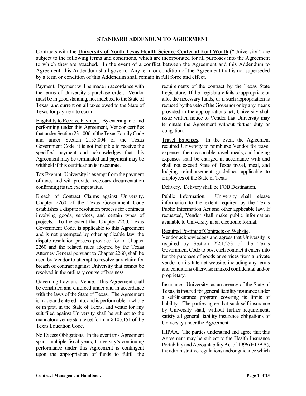#### **STANDARD ADDENDUM TO AGREEMENT**

Contracts with the **University of North Texas Health Science Center at Fort Worth** ("University") are subject to the following terms and conditions, which are incorporated for all purposes into the Agreement to which they are attached. In the event of a conflict between the Agreement and this Addendum to Agreement, this Addendum shall govern. Any term or condition of the Agreement that is not superseded by a term or condition of this Addendum shall remain in full force and effect.

Payment. Payment will be made in accordance with the terms of University's purchase order. Vendor must be in good standing, not indebted to the State of Texas, and current on all taxes owed to the State of Texas for payment to occur.

Eligibility to Receive Payment. By entering into and performing under this Agreement, Vendor certifies that under Section 231.006 of the Texas Family Code and under Section 2155.004 of the Texas Government Code, it is not ineligible to receive the specified payment and acknowledges that this Agreement may be terminated and payment may be withheld if this certification is inaccurate.

Tax Exempt. University is exempt from the payment of taxes and will provide necessary documentation confirming its tax exempt status.

Breach of Contract Claims against University. Chapter 2260 of the Texas Government Code establishes a dispute resolution process for contracts involving goods, services, and certain types of projects. To the extent that Chapter 2260, Texas Government Code, is applicable to this Agreement and is not preempted by other applicable law, the dispute resolution process provided for in Chapter 2260 and the related rules adopted by the Texas Attorney General pursuant to Chapter 2260, shall be used by Vendor to attempt to resolve any claim for breach of contract against University that cannot be resolved in the ordinary course of business.

Governing Law and Venue. This Agreement shall be construed and enforced under and in accordance with the laws of the State of Texas. The Agreement is made and entered into, and is performable in whole or in part, in the State of Texas, and venue for any suit filed against University shall be subject to the mandatory venue statute set forth in § 105.151 of the Texas Education Code.

No Excess Obligations. In the event this Agreement spans multiple fiscal years, University's continuing performance under this Agreement is contingent upon the appropriation of funds to fulfill the

requirements of the contract by the Texas State Legislature. If the Legislature fails to appropriate or allot the necessary funds, or if such appropriation is reduced by the veto of the Governor or by any means provided in the appropriations act, University shall issue written notice to Vendor that University may terminate the Agreement without further duty or obligation.

Travel Expenses. In the event the Agreement required University to reimburse Vendor for travel expenses, then reasonable travel, meals, and lodging expenses shall be charged in accordance with and shall not exceed State of Texas travel, meal, and lodging reimbursement guidelines applicable to employees of the State of Texas.

Delivery. Delivery shall be FOB Destination.

Public Information. University shall release information to the extent required by the Texas Public Information Act and other applicable law. If requested, Vendor shall make public information available to University in an electronic format.

## Required Posting of Contracts on Website.

Vendor acknowledges and agrees that University is required by Section 2261.253 of the Texas Government Code to post each contract it enters into for the purchase of goods or services from a private vendor on its Internet website, including any terms and conditions otherwise marked confidential and/or proprietary.

Insurance. University, as an agency of the State of Texas, is insured for general liability insurance under a self-insurance program covering its limits of liability. The parties agree that such self-insurance by University shall, without further requirement, satisfy all general liability insurance obligations of University under the Agreement.

HIPAA. The parties understand and agree that this Agreement may be subject to the Health Insurance Portability and Accountability Act of 1996 (HIPAA), the administrative regulations and/or guidance which